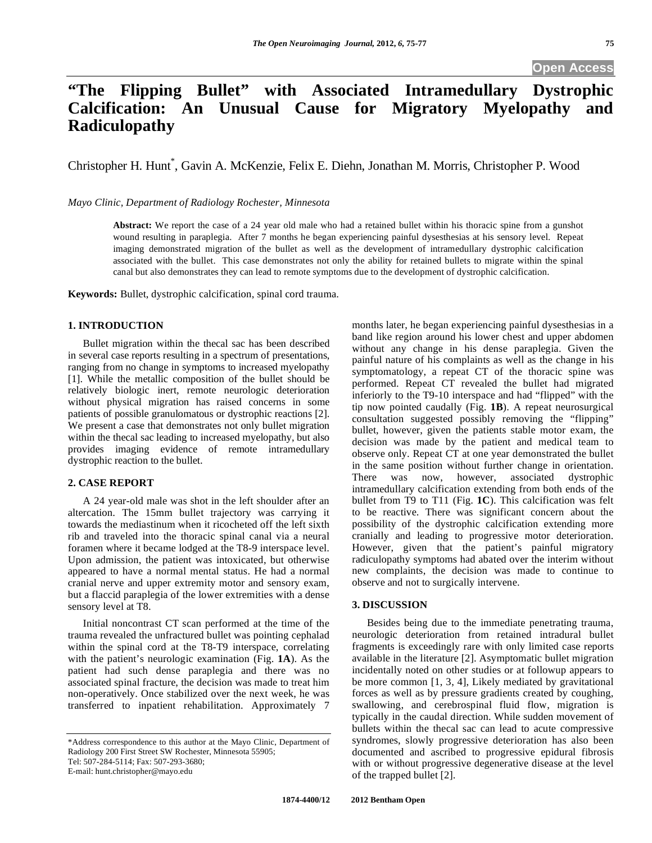# **"The Flipping Bullet" with Associated Intramedullary Dystrophic Calcification: An Unusual Cause for Migratory Myelopathy and Radiculopathy**

Christopher H. Hunt\* , Gavin A. McKenzie, Felix E. Diehn, Jonathan M. Morris, Christopher P. Wood

*Mayo Clinic, Department of Radiology Rochester, Minnesota* 

**Abstract:** We report the case of a 24 year old male who had a retained bullet within his thoracic spine from a gunshot wound resulting in paraplegia. After 7 months he began experiencing painful dysesthesias at his sensory level. Repeat imaging demonstrated migration of the bullet as well as the development of intramedullary dystrophic calcification associated with the bullet. This case demonstrates not only the ability for retained bullets to migrate within the spinal canal but also demonstrates they can lead to remote symptoms due to the development of dystrophic calcification.

**Keywords:** Bullet, dystrophic calcification, spinal cord trauma.

### **1. INTRODUCTION**

 Bullet migration within the thecal sac has been described in several case reports resulting in a spectrum of presentations, ranging from no change in symptoms to increased myelopathy [1]. While the metallic composition of the bullet should be relatively biologic inert, remote neurologic deterioration without physical migration has raised concerns in some patients of possible granulomatous or dystrophic reactions [2]. We present a case that demonstrates not only bullet migration within the thecal sac leading to increased myelopathy, but also provides imaging evidence of remote intramedullary dystrophic reaction to the bullet.

#### **2. CASE REPORT**

 A 24 year-old male was shot in the left shoulder after an altercation. The 15mm bullet trajectory was carrying it towards the mediastinum when it ricocheted off the left sixth rib and traveled into the thoracic spinal canal via a neural foramen where it became lodged at the T8-9 interspace level. Upon admission, the patient was intoxicated, but otherwise appeared to have a normal mental status. He had a normal cranial nerve and upper extremity motor and sensory exam, but a flaccid paraplegia of the lower extremities with a dense sensory level at T8.

 Initial noncontrast CT scan performed at the time of the trauma revealed the unfractured bullet was pointing cephalad within the spinal cord at the T8-T9 interspace, correlating with the patient's neurologic examination (Fig. **1A**). As the patient had such dense paraplegia and there was no associated spinal fracture, the decision was made to treat him non-operatively. Once stabilized over the next week, he was transferred to inpatient rehabilitation. Approximately 7

months later, he began experiencing painful dysesthesias in a band like region around his lower chest and upper abdomen without any change in his dense paraplegia. Given the painful nature of his complaints as well as the change in his symptomatology, a repeat CT of the thoracic spine was performed. Repeat CT revealed the bullet had migrated inferiorly to the T9-10 interspace and had "flipped" with the tip now pointed caudally (Fig. **1B**). A repeat neurosurgical consultation suggested possibly removing the "flipping" bullet, however, given the patients stable motor exam, the decision was made by the patient and medical team to observe only. Repeat CT at one year demonstrated the bullet in the same position without further change in orientation. There was now, however, associated dystrophic intramedullary calcification extending from both ends of the bullet from T9 to T11 (Fig. **1C**). This calcification was felt to be reactive. There was significant concern about the possibility of the dystrophic calcification extending more cranially and leading to progressive motor deterioration. However, given that the patient's painful migratory radiculopathy symptoms had abated over the interim without new complaints, the decision was made to continue to observe and not to surgically intervene.

#### **3. DISCUSSION**

 Besides being due to the immediate penetrating trauma, neurologic deterioration from retained intradural bullet fragments is exceedingly rare with only limited case reports available in the literature [2]. Asymptomatic bullet migration incidentally noted on other studies or at followup appears to be more common [1, 3, 4], Likely mediated by gravitational forces as well as by pressure gradients created by coughing, swallowing, and cerebrospinal fluid flow, migration is typically in the caudal direction. While sudden movement of bullets within the thecal sac can lead to acute compressive syndromes, slowly progressive deterioration has also been documented and ascribed to progressive epidural fibrosis with or without progressive degenerative disease at the level of the trapped bullet [2].

<sup>\*</sup>Address correspondence to this author at the Mayo Clinic, Department of Radiology 200 First Street SW Rochester, Minnesota 55905; Tel: 507-284-5114; Fax: 507-293-3680;

E-mail: hunt.christopher@mayo.edu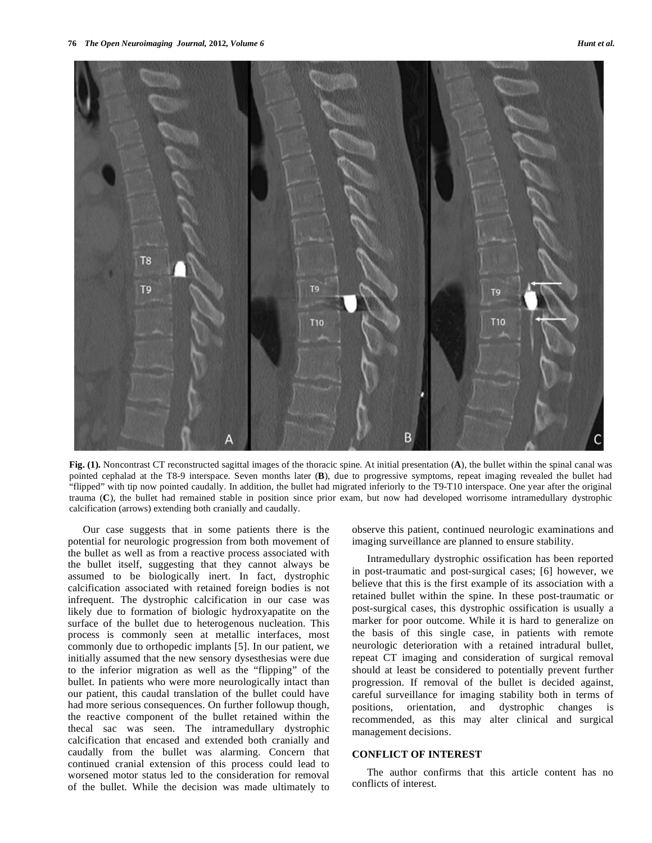

**Fig. (1).** Noncontrast CT reconstructed sagittal images of the thoracic spine. At initial presentation (**A**), the bullet within the spinal canal was pointed cephalad at the T8-9 interspace. Seven months later (**B**), due to progressive symptoms, repeat imaging revealed the bullet had "flipped" with tip now pointed caudally. In addition, the bullet had migrated inferiorly to the T9-T10 interspace. One year after the original trauma (**C**), the bullet had remained stable in position since prior exam, but now had developed worrisome intramedullary dystrophic calcification (arrows) extending both cranially and caudally.

 Our case suggests that in some patients there is the potential for neurologic progression from both movement of the bullet as well as from a reactive process associated with the bullet itself, suggesting that they cannot always be assumed to be biologically inert. In fact, dystrophic calcification associated with retained foreign bodies is not infrequent. The dystrophic calcification in our case was likely due to formation of biologic hydroxyapatite on the surface of the bullet due to heterogenous nucleation. This process is commonly seen at metallic interfaces, most commonly due to orthopedic implants [5]. In our patient, we initially assumed that the new sensory dysesthesias were due to the inferior migration as well as the "flipping" of the bullet. In patients who were more neurologically intact than our patient, this caudal translation of the bullet could have had more serious consequences. On further followup though, the reactive component of the bullet retained within the thecal sac was seen. The intramedullary dystrophic calcification that encased and extended both cranially and caudally from the bullet was alarming. Concern that continued cranial extension of this process could lead to worsened motor status led to the consideration for removal of the bullet. While the decision was made ultimately to

observe this patient, continued neurologic examinations and imaging surveillance are planned to ensure stability.

 Intramedullary dystrophic ossification has been reported in post-traumatic and post-surgical cases; [6] however, we believe that this is the first example of its association with a retained bullet within the spine. In these post-traumatic or post-surgical cases, this dystrophic ossification is usually a marker for poor outcome. While it is hard to generalize on the basis of this single case, in patients with remote neurologic deterioration with a retained intradural bullet, repeat CT imaging and consideration of surgical removal should at least be considered to potentially prevent further progression. If removal of the bullet is decided against, careful surveillance for imaging stability both in terms of positions, orientation, and dystrophic changes is recommended, as this may alter clinical and surgical management decisions.

## **CONFLICT OF INTEREST**

 The author confirms that this article content has no conflicts of interest.